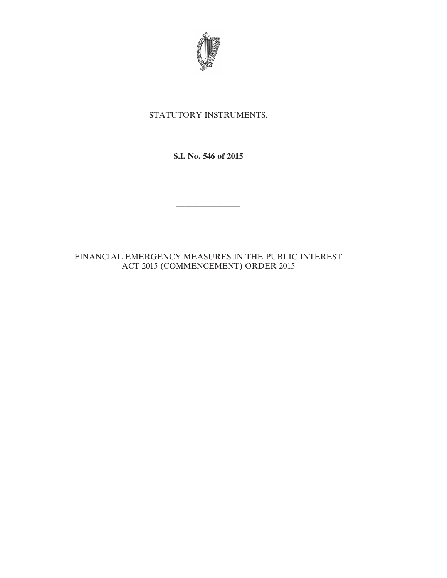

## STATUTORY INSTRUMENTS.

**S.I. No. 546 of 2015**

————————

## FINANCIAL EMERGENCY MEASURES IN THE PUBLIC INTEREST ACT 2015 (COMMENCEMENT) ORDER 2015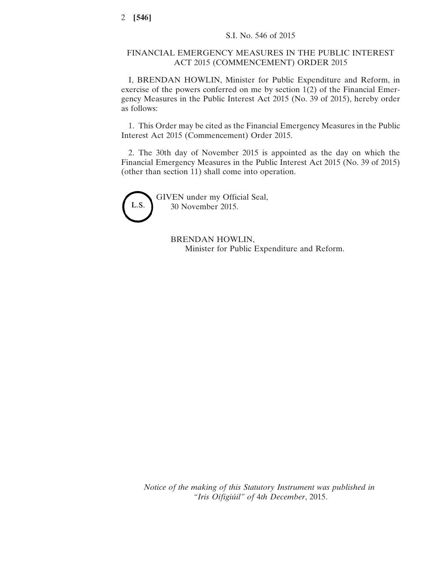## FINANCIAL EMERGENCY MEASURES IN THE PUBLIC INTEREST ACT 2015 (COMMENCEMENT) ORDER 2015

I, BRENDAN HOWLIN, Minister for Public Expenditure and Reform, in exercise of the powers conferred on me by section 1(2) of the Financial Emergency Measures in the Public Interest Act 2015 (No. 39 of 2015), hereby order as follows:

1. This Order may be cited as the Financial Emergency Measures in the Public Interest Act 2015 (Commencement) Order 2015.

2. The 30th day of November 2015 is appointed as the day on which the Financial Emergency Measures in the Public Interest Act 2015 (No. 39 of 2015) (other than section 11) shall come into operation.



GIVEN under my Official Seal, 30 November 2015.

> BRENDAN HOWLIN, Minister for Public Expenditure and Reform.

*Notice of the making of this Statutory Instrument was published in "Iris Oifigiúil" of* 4*th December*, 2015.